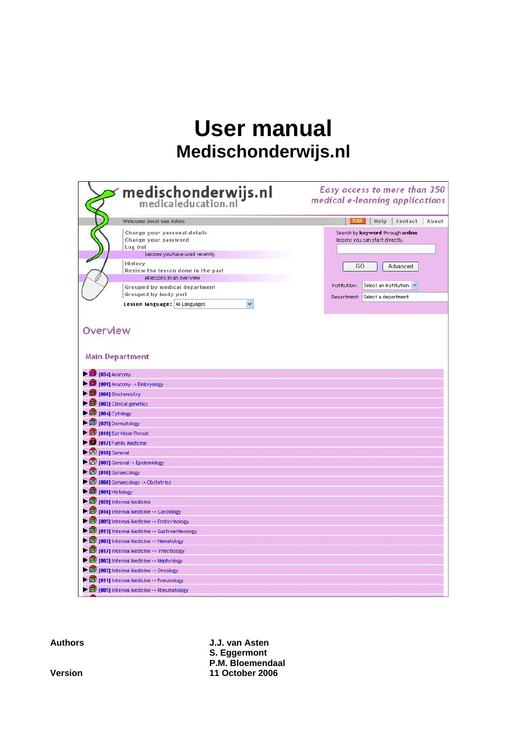# **User manual Medischonderwijs.nl**

|                                                      | $\rightarrow$ medischonderwijs.nl                                                                                                                                                                                 | Easy access to more than 350<br>medical e-learning applications                                                                |
|------------------------------------------------------|-------------------------------------------------------------------------------------------------------------------------------------------------------------------------------------------------------------------|--------------------------------------------------------------------------------------------------------------------------------|
|                                                      | Welcome Joost van Asten                                                                                                                                                                                           | RSS Help Contact About                                                                                                         |
|                                                      | Change your personal details<br>Change your password<br>Log Out<br>Lessons you have used recently<br>History<br>Review the lesson done in the past<br>All lessons in an overview<br>Grouped by medical department | Search by keyword through online<br>lessons you can start directly.<br>GO<br>Advanced<br>Institution:<br>Select an institution |
|                                                      | Grouped by body part                                                                                                                                                                                              | Department: Select a department                                                                                                |
|                                                      | Lesson language: All Languages<br>v                                                                                                                                                                               |                                                                                                                                |
| Overview                                             | <b>Main Department</b>                                                                                                                                                                                            |                                                                                                                                |
| $\triangleright$ $\blacksquare$ [034] Anatomy        |                                                                                                                                                                                                                   |                                                                                                                                |
|                                                      | 1009] Anatomy -> Embryology                                                                                                                                                                                       |                                                                                                                                |
| $\blacktriangleright$ $\Box$ [008] Biochemistry      |                                                                                                                                                                                                                   |                                                                                                                                |
|                                                      | $\blacktriangleright$ $\Box$ [002] Clinical genetics                                                                                                                                                              |                                                                                                                                |
| $\blacktriangleright$ $\blacksquare$ [004] Cytology  |                                                                                                                                                                                                                   |                                                                                                                                |
| $\blacktriangleright$ $\boxed{0}$ [025] Dermatology  |                                                                                                                                                                                                                   |                                                                                                                                |
|                                                      | <b>D</b> [018] Ear-Nose-Throat                                                                                                                                                                                    |                                                                                                                                |
| 1017] Family Medicine                                |                                                                                                                                                                                                                   |                                                                                                                                |
| $\blacktriangleright$ $\Box$ [018] General           |                                                                                                                                                                                                                   |                                                                                                                                |
|                                                      | ightharpoonup General -> Epidemiology                                                                                                                                                                             |                                                                                                                                |
| $\blacktriangleright$ $\Box$ [010] Gynaecology       |                                                                                                                                                                                                                   |                                                                                                                                |
|                                                      | ightharpoonup Cynaecology -> Obstetrics                                                                                                                                                                           |                                                                                                                                |
| $\blacktriangleright$ $\blacksquare$ [009] Histology |                                                                                                                                                                                                                   |                                                                                                                                |
|                                                      | 1028] Internal Medicine                                                                                                                                                                                           |                                                                                                                                |
|                                                      | 1016] Internal Medicine -> Cardiology                                                                                                                                                                             |                                                                                                                                |
|                                                      | 1005] Internal Medicine -> Endocrinology                                                                                                                                                                          |                                                                                                                                |
|                                                      | 1013] Internal Medicine -> Gastroenterology                                                                                                                                                                       |                                                                                                                                |
|                                                      | 1002] Internal Medicine -> Hematology                                                                                                                                                                             |                                                                                                                                |
|                                                      | 1017] Internal Medicine -> Infectiology                                                                                                                                                                           |                                                                                                                                |
|                                                      | 1003] Internal Medicine -> Nephrology                                                                                                                                                                             |                                                                                                                                |
|                                                      | 1002] Internal Medicine -> Oncology                                                                                                                                                                               |                                                                                                                                |
|                                                      | 1011] Internal Medicine -> Pneumology                                                                                                                                                                             |                                                                                                                                |
|                                                      | 1 [005] Internal Medicine -> Rheumatology                                                                                                                                                                         |                                                                                                                                |

**Authors J.J. van Asten S. Eggermont P.M. Bloemendaal Version 11 October 2006**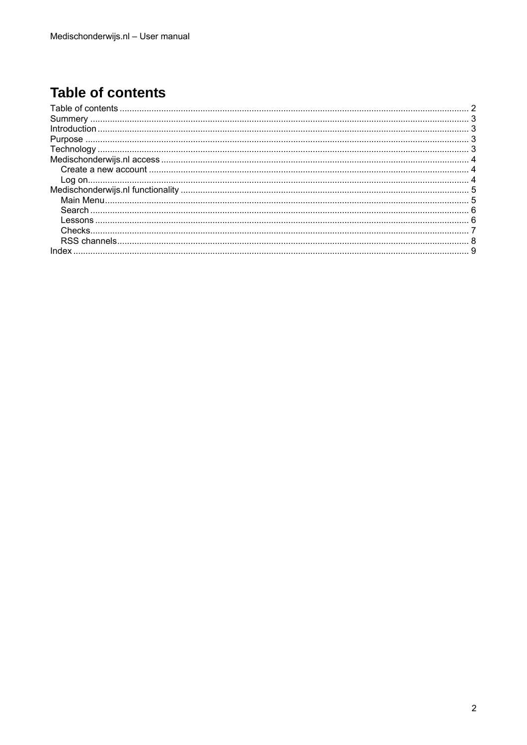# <span id="page-1-0"></span>**Table of contents**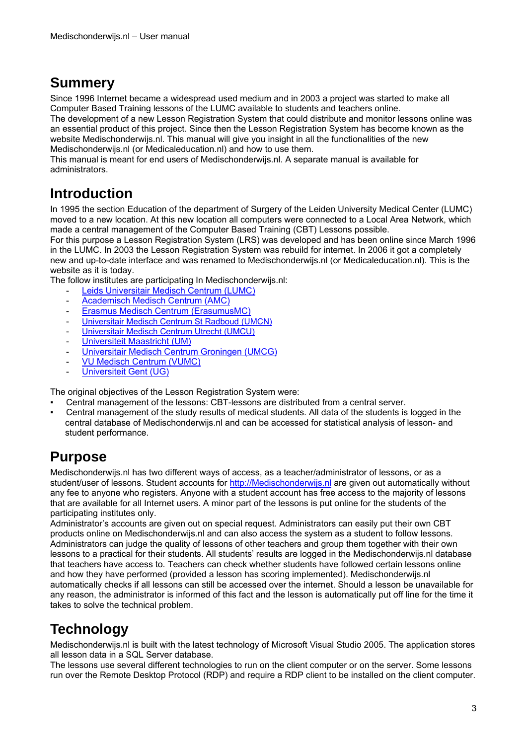## <span id="page-2-0"></span>**Summery**

Since 1996 Internet became a widespread used medium and in 2003 a project was started to make all Computer Based Training lessons of the LUMC available to students and teachers online.

The development of a new Lesson Registration System that could distribute and monitor lessons online was an essential product of this project. Since then the Lesson Registration System has become known as the website Medischonderwijs.nl. This manual will give you insight in all the functionalities of the new Medischonderwijs.nl (or Medicaleducation.nl) and how to use them.

This manual is meant for end users of Medischonderwijs.nl. A separate manual is available for administrators.

# **Introduction**

In 1995 the section Education of the department of Surgery of the Leiden University Medical Center (LUMC) moved to a new location. At this new location all computers were connected to a Local Area Network, which made a central management of the Computer Based Training (CBT) Lessons possible.

For this purpose a Lesson Registration System (LRS) was developed and has been online since March 1996 in the LUMC. In 2003 the Lesson Registration System was rebuild for internet. In 2006 it got a completely new and up-to-date interface and was renamed to Medischonderwijs.nl (or Medicaleducation.nl). This is the website as it is today.

The follow institutes are participating In Medischonderwijs.nl:

- [Leids Universitair Medisch Centrum \(LUMC\)](http://www.lumc.nl/)
- [Academisch Medisch Centrum \(AMC\)](http://www.amc.uva.nl/)
- [Erasmus Medisch Centrum \(ErasumusMC\)](http://www.erasmusmc.nl/)
- [Universitair Medisch Centrum St Radboud \(UMCN\)](http://www.umcn.nl/)
- [Universitair Medisch Centrum Utrecht \(UMCU\)](http://www.umcutrecht.nl/)
- [Universiteit Maastricht \(UM\)](http://www.unimaas.nl/)
- [Universitair Medisch Centrum Groningen \(UMCG\)](http://www.umcg.nl/)
- [VU Medisch Centrum \(VUMC\)](http://www.vumc.nl/)
- [Universiteit Gent \(UG\)](http://www.ugent.be/)

The original objectives of the Lesson Registration System were:

- Central management of the lessons: CBT-lessons are distributed from a central server.
- Central management of the study results of medical students. All data of the students is logged in the central database of Medischonderwijs.nl and can be accessed for statistical analysis of lesson- and student performance.

## **Purpose**

Medischonderwijs.nl has two different ways of access, as a teacher/administrator of lessons, or as a student/user of lessons. Student accounts for [http://Medischonderwijs.nl](http://medischonderwijs.nl/) are given out automatically without any fee to anyone who registers. Anyone with a student account has free access to the majority of lessons that are available for all Internet users. A minor part of the lessons is put online for the students of the participating institutes only.

Administrator's accounts are given out on special request. Administrators can easily put their own CBT products online on Medischonderwijs.nl and can also access the system as a student to follow lessons. Administrators can judge the quality of lessons of other teachers and group them together with their own lessons to a practical for their students. All students' results are logged in the Medischonderwijs.nl database that teachers have access to. Teachers can check whether students have followed certain lessons online and how they have performed (provided a lesson has scoring implemented). Medischonderwijs.nl automatically checks if all lessons can still be accessed over the internet. Should a lesson be unavailable for any reason, the administrator is informed of this fact and the lesson is automatically put off line for the time it takes to solve the technical problem.

# **Technology**

Medischonderwijs.nl is built with the latest technology of Microsoft Visual Studio 2005. The application stores all lesson data in a SQL Server database.

The lessons use several different technologies to run on the client computer or on the server. Some lessons run over the Remote Desktop Protocol (RDP) and require a RDP client to be installed on the client computer.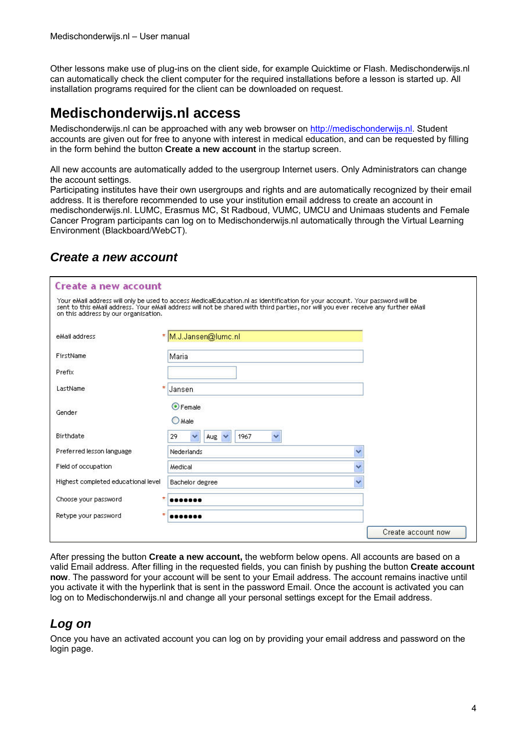<span id="page-3-0"></span>Other lessons make use of plug-ins on the client side, for example Quicktime or Flash. Medischonderwijs.nl can automatically check the client computer for the required installations before a lesson is started up. All installation programs required for the client can be downloaded on request.

## **Medischonderwijs.nl access**

Medischonderwijs.nl can be approached with any web browser on [http://medischonderwijs.nl.](http://medischonderwijs.nl/) Student accounts are given out for free to anyone with interest in medical education, and can be requested by filling in the form behind the button **Create a new account** in the startup screen.

All new accounts are automatically added to the usergroup Internet users. Only Administrators can change the account settings.

Participating institutes have their own usergroups and rights and are automatically recognized by their email address. It is therefore recommended to use your institution email address to create an account in medischonderwijs.nl. LUMC, Erasmus MC, St Radboud, VUMC, UMCU and Unimaas students and Female Cancer Program participants can log on to Medischonderwijs.nl automatically through the Virtual Learning Environment (Blackboard/WebCT).

#### *Create a new account*

| <b>Create a new account</b>          |                                                                                                                                                                                                                                                                   |                    |
|--------------------------------------|-------------------------------------------------------------------------------------------------------------------------------------------------------------------------------------------------------------------------------------------------------------------|--------------------|
| on this address by our organisation. | Your eMail address will only be used to access MedicalEducation.nl as identification for your account. Your password will be<br>sent to this eMail address. Your eMail address will not be shared with third parties, nor will you ever receive any further eMail |                    |
| eMail address                        | * M.J.Jansen@lumc.nl                                                                                                                                                                                                                                              |                    |
| FirstName                            | Maria                                                                                                                                                                                                                                                             |                    |
| Prefix                               |                                                                                                                                                                                                                                                                   |                    |
| ÷.<br>LastName                       | Jansen                                                                                                                                                                                                                                                            |                    |
| Gender                               | ⊙ Female<br>$O$ Male                                                                                                                                                                                                                                              |                    |
| <b>Birthdate</b>                     | 29<br>1967<br>$Aug \vee$                                                                                                                                                                                                                                          |                    |
| Preferred lesson language            | Nederlands                                                                                                                                                                                                                                                        | v                  |
| Field of occupation                  | Medical                                                                                                                                                                                                                                                           | v                  |
| Highest completed educational level  | Bachelor degree                                                                                                                                                                                                                                                   | Ÿ                  |
| *<br>Choose your password.           |                                                                                                                                                                                                                                                                   |                    |
| $\star$<br>Retype your password      |                                                                                                                                                                                                                                                                   |                    |
|                                      |                                                                                                                                                                                                                                                                   | Create account now |

After pressing the button **Create a new account,** the webform below opens. All accounts are based on a valid Email address. After filling in the requested fields, you can finish by pushing the button **Create account now**. The password for your account will be sent to your Email address. The account remains inactive until you activate it with the hyperlink that is sent in the password Email. Once the account is activated you can log on to Medischonderwijs.nl and change all your personal settings except for the Email address.

#### *Log on*

Once you have an activated account you can log on by providing your email address and password on the login page.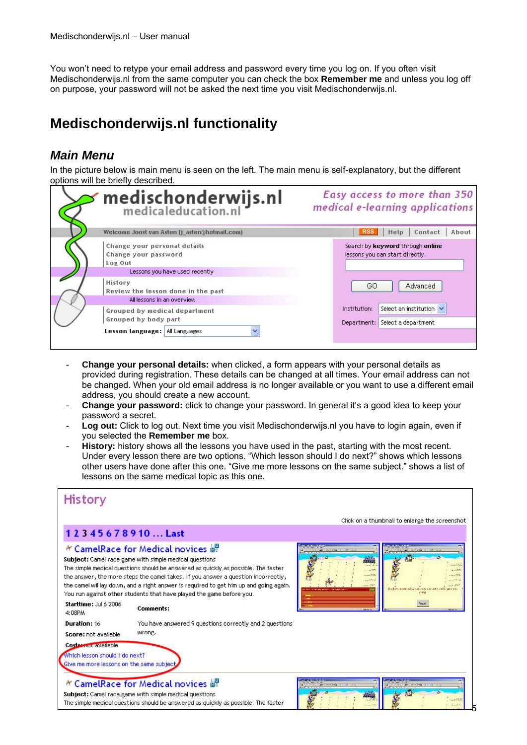<span id="page-4-0"></span>You won't need to retype your email address and password every time you log on. If you often visit Medischonderwijs.nl from the same computer you can check the box **Remember me** and unless you log off on purpose, your password will not be asked the next time you visit Medischonderwijs.nl.

# **Medischonderwijs.nl functionality**

#### *Main Menu*

In the picture below is main menu is seen on the left. The main menu is self-explanatory, but the different options will be briefly described.

| medischonderwijs.nl<br>medicaleducation.nl                                  | Easy access to more than 350<br>medical e-learning applications     |
|-----------------------------------------------------------------------------|---------------------------------------------------------------------|
| Welcome Joost van Asten (j asten@hotmail.com)                               | <b>RSS</b><br>Contact<br>Help<br>About                              |
| Change your personal details<br>Change your password<br>Log Out             | Search by keyword through online<br>lessons you can start directly. |
| Lessons you have used recently                                              |                                                                     |
| History<br>Review the lesson done in the past<br>All lessons in an overview | Advanced<br>GO.                                                     |
|                                                                             | Select an institution $\vee$<br>Institution:                        |
| Grouped by medical department<br>Grouped by body part                       | Select a department<br>Department:                                  |
| Lesson language:   All Languages                                            |                                                                     |

- **Change your personal details:** when clicked, a form appears with your personal details as provided during registration. These details can be changed at all times. Your email address can not be changed. When your old email address is no longer available or you want to use a different email address, you should create a new account.
- **Change your password:** click to change your password. In general it's a good idea to keep your password a secret.
- **Log out:** Click to log out. Next time you visit Medischonderwijs.nl you have to login again, even if you selected the **Remember me** box.
- History: history shows all the lessons you have used in the past, starting with the most recent. Under every lesson there are two options. "Which lesson should I do next?" shows which lessons other users have done after this one. "Give me more lessons on the same subject." shows a list of lessons on the same medical topic as this one.

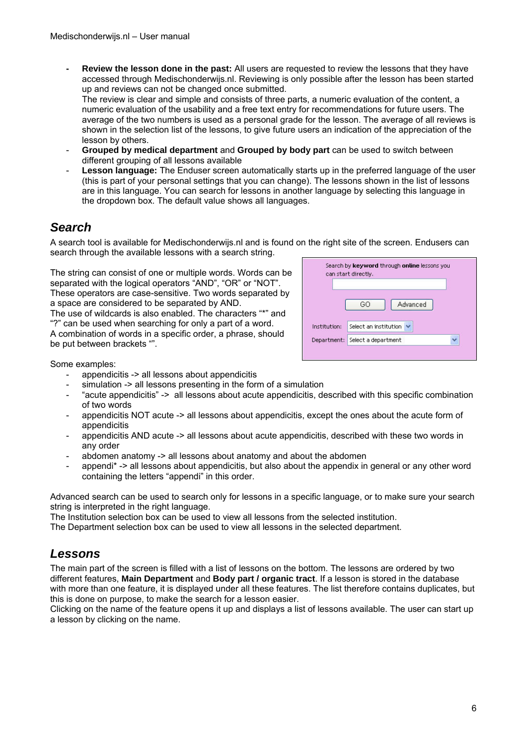<span id="page-5-0"></span>**- Review the lesson done in the past:** All users are requested to review the lessons that they have accessed through Medischonderwijs.nl. Reviewing is only possible after the lesson has been started up and reviews can not be changed once submitted.

The review is clear and simple and consists of three parts, a numeric evaluation of the content, a numeric evaluation of the usability and a free text entry for recommendations for future users. The average of the two numbers is used as a personal grade for the lesson. The average of all reviews is shown in the selection list of the lessons, to give future users an indication of the appreciation of the lesson by others.

- **Grouped by medical department** and **Grouped by body part** can be used to switch between different grouping of all lessons available
- Lesson language: The Enduser screen automatically starts up in the preferred language of the user (this is part of your personal settings that you can change). The lessons shown in the list of lessons are in this language. You can search for lessons in another language by selecting this language in the dropdown box. The default value shows all languages.

### *Search*

A search tool is available for Medischonderwijs.nl and is found on the right site of the screen. Endusers can search through the available lessons with a search string.

The string can consist of one or multiple words. Words can be separated with the logical operators "AND", "OR" or "NOT". These operators are case-sensitive. Two words separated by a space are considered to be separated by AND.

The use of wildcards is also enabled. The characters "\*" and "?" can be used when searching for only a part of a word. A combination of words in a specific order, a phrase, should be put between brackets "".

|              | can start directly.   |
|--------------|-----------------------|
|              |                       |
|              | Advanced<br>GO        |
|              |                       |
| Institution: | Select an institution |
|              | Select a department   |

Some examples:

- appendicitis -> all lessons about appendicitis
- simulation -> all lessons presenting in the form of a simulation
- "acute appendicitis" -> all lessons about acute appendicitis, described with this specific combination of two words
- appendicitis NOT acute -> all lessons about appendicitis, except the ones about the acute form of appendicitis
- appendicitis AND acute -> all lessons about acute appendicitis, described with these two words in any order
- abdomen anatomy -> all lessons about anatomy and about the abdomen
- appendi\* -> all lessons about appendicitis, but also about the appendix in general or any other word containing the letters "appendi" in this order.

Advanced search can be used to search only for lessons in a specific language, or to make sure your search string is interpreted in the right language.

The Institution selection box can be used to view all lessons from the selected institution.

The Department selection box can be used to view all lessons in the selected department.

#### *Lessons*

The main part of the screen is filled with a list of lessons on the bottom. The lessons are ordered by two different features, **Main Department** and **Body part / organic tract**. If a lesson is stored in the database with more than one feature, it is displayed under all these features. The list therefore contains duplicates, but this is done on purpose, to make the search for a lesson easier.

Clicking on the name of the feature opens it up and displays a list of lessons available. The user can start up a lesson by clicking on the name.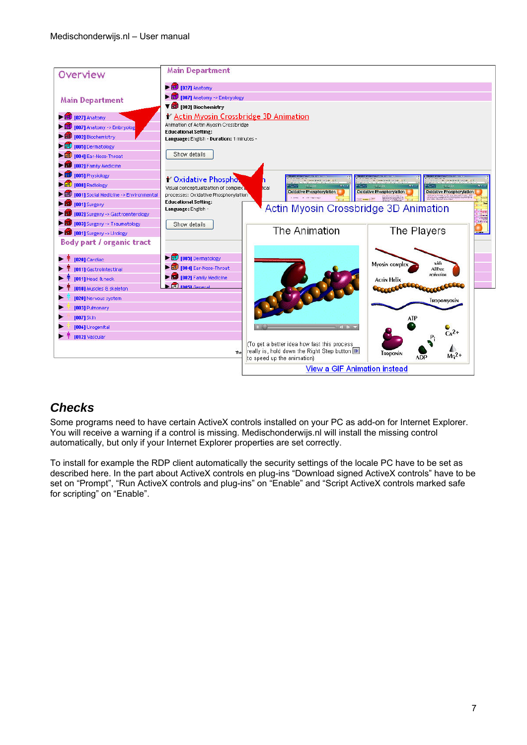<span id="page-6-0"></span>

### *Checks*

Some programs need to have certain ActiveX controls installed on your PC as add-on for Internet Explorer. You will receive a warning if a control is missing. Medischonderwijs.nl will install the missing control automatically, but only if your Internet Explorer properties are set correctly.

To install for example the RDP client automatically the security settings of the locale PC have to be set as described here. In the part about ActiveX controls en plug-ins "Download signed ActiveX controls" have to be set on "Prompt", "Run ActiveX controls and plug-ins" on "Enable" and "Script ActiveX controls marked safe for scripting" on "Enable".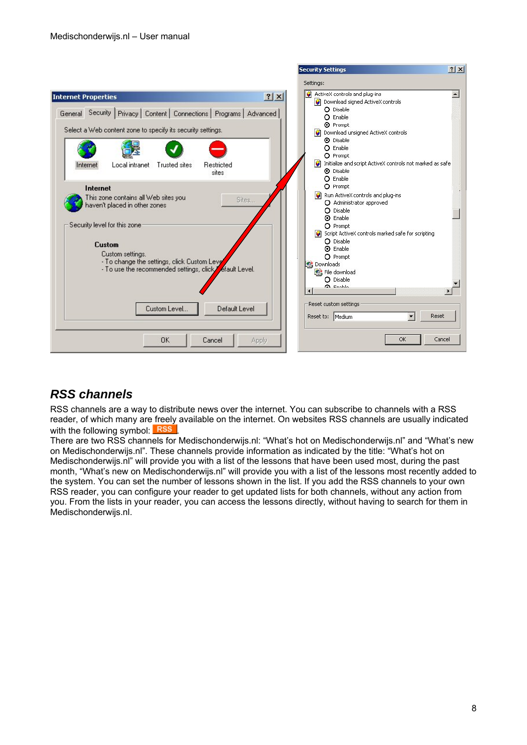<span id="page-7-0"></span>

#### *RSS channels*

RSS channels are a way to distribute news over the internet. You can subscribe to channels with a RSS reader, of which many are freely available on the internet. On websites RSS channels are usually indicated with the following symbol: RSS

There are two RSS channels for Medischonderwijs.nl: "What's hot on Medischonderwijs.nl" and "What's new on Medischonderwijs.nl". These channels provide information as indicated by the title: "What's hot on Medischonderwijs.nl" will provide you with a list of the lessons that have been used most, during the past month, "What's new on Medischonderwijs.nl" will provide you with a list of the lessons most recently added to the system. You can set the number of lessons shown in the list. If you add the RSS channels to your own RSS reader, you can configure your reader to get updated lists for both channels, without any action from you. From the lists in your reader, you can access the lessons directly, without having to search for them in Medischonderwijs.nl.